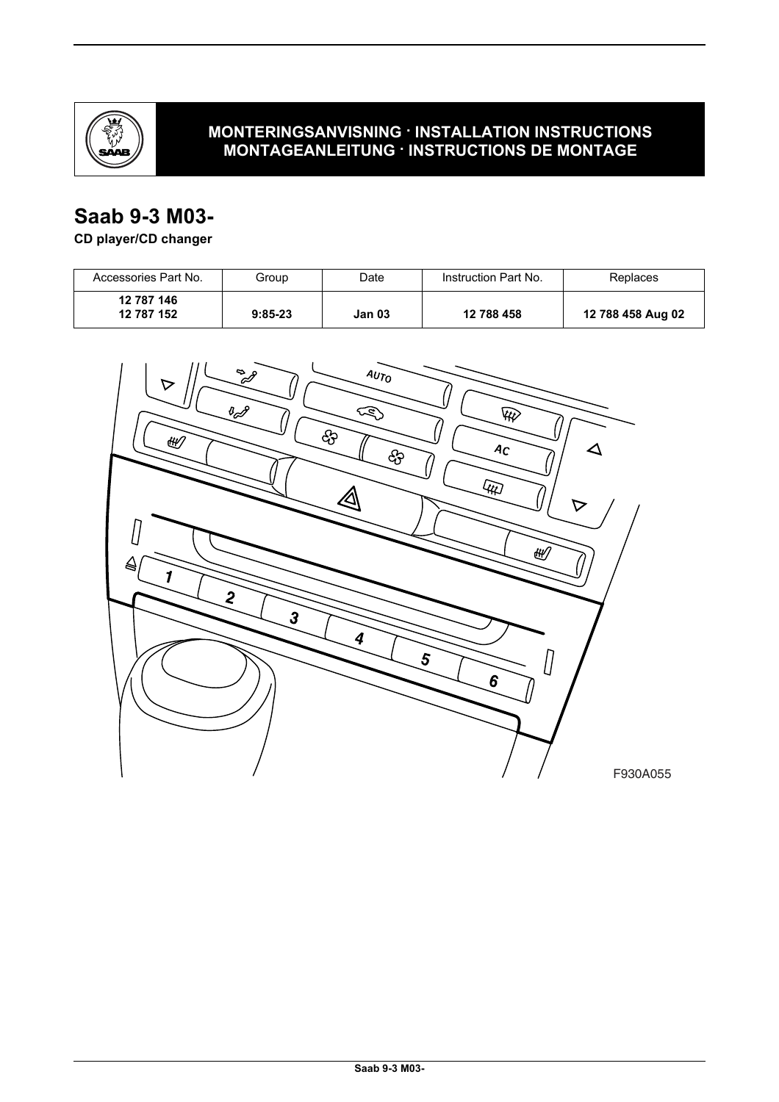

# **MONTERINGSANVISNING · INSTALLATION INSTRUCTIONS MONTAGEANLEITUNG · INSTRUCTIONS DE MONTAGE**

# **Saab 9-3 M03-**

## **CD player/CD changer**

| Accessories Part No.     | Group     | Date   | Instruction Part No. | Replaces          |
|--------------------------|-----------|--------|----------------------|-------------------|
| 12 787 146<br>12 787 152 | $9:85-23$ | Jan 03 | 12 788 458           | 12 788 458 Aug 02 |

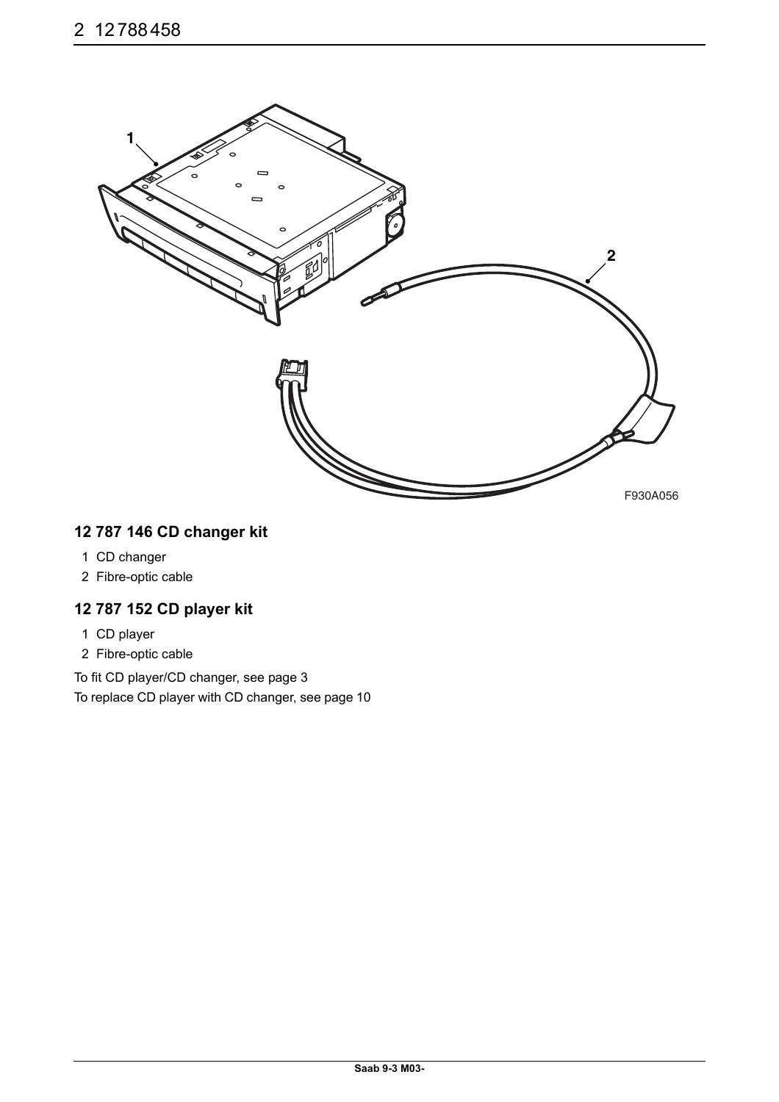

# **12 787 146 CD changer kit**

- 1 CD changer
- 2 Fibre-optic cable

### **12 787 152 CD player kit**

- 1 CD player
- 2 Fibre-optic cable

To fit CD player/CD changer, see page 3 To replace CD player with CD changer, see page 10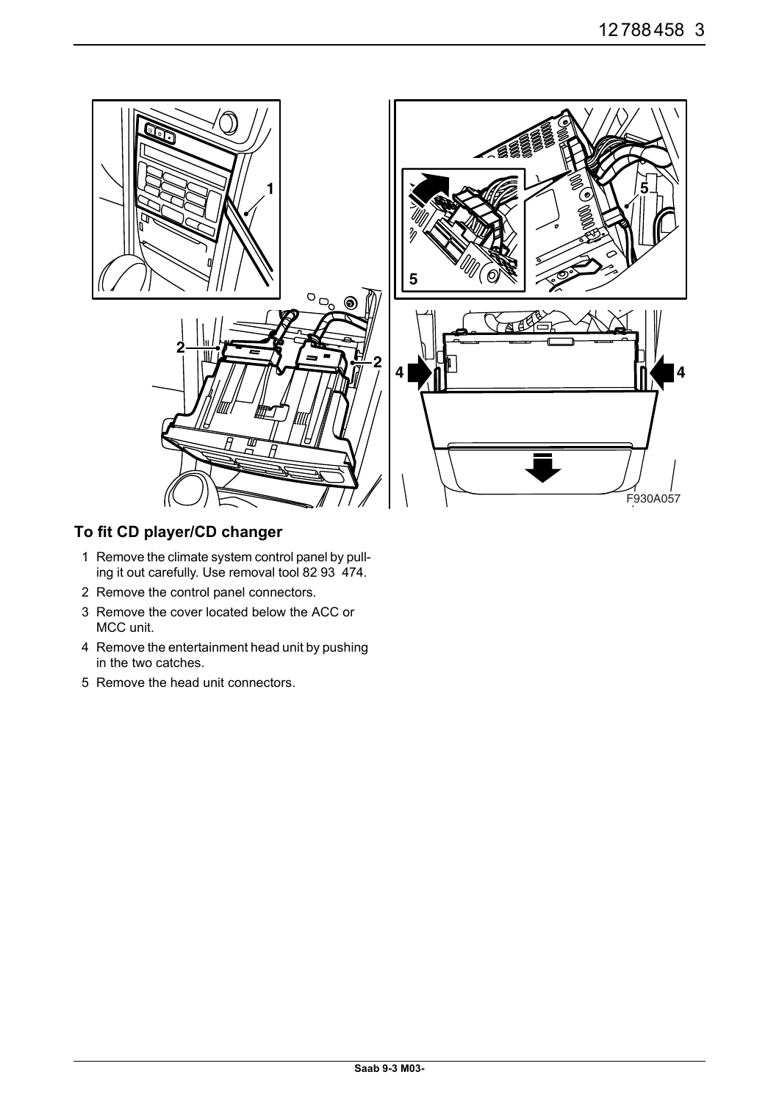

# **To fit CD player/CD changer**

- 1 Remove the climate system control panel by pulling it out carefully. Use removal tool 82 93 474.
- 2 Remove the control panel connectors.
- 3 Remove the cover located below the ACC or MCC unit.
- 4 Remove the entertainment head unit by pushing in the two catches.
- 5 Remove the head unit connectors.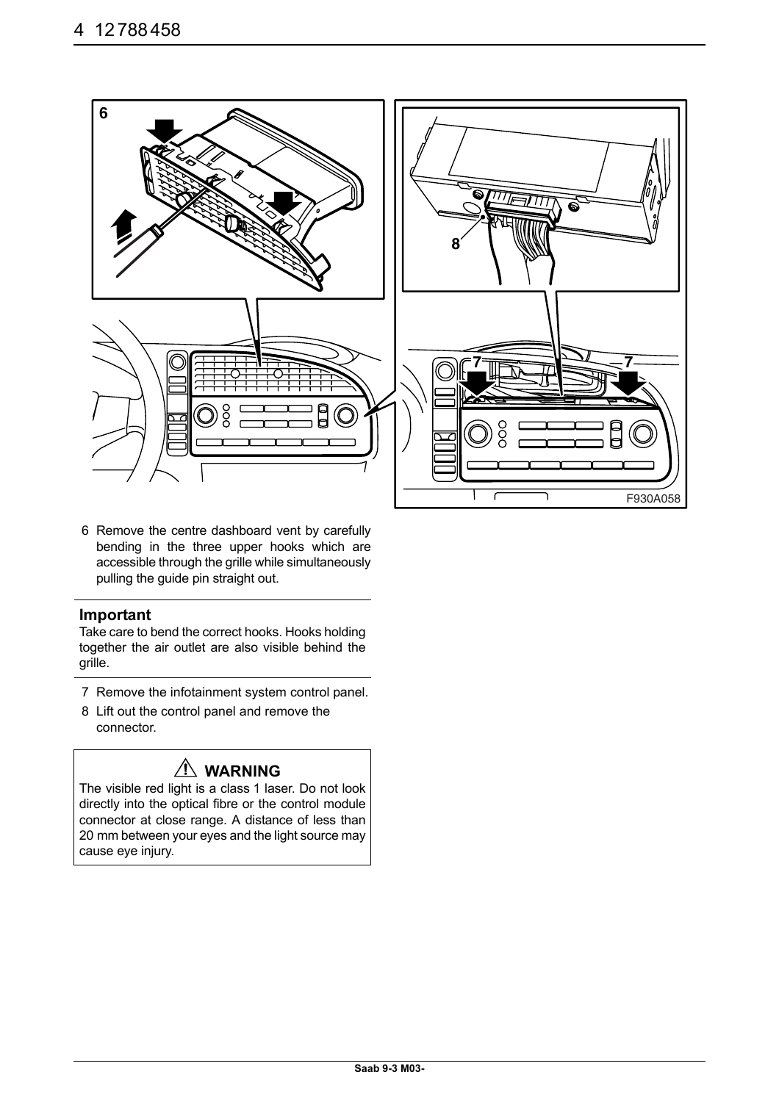

6 Remove the centre dashboard vent by carefully bending in the three upper hooks which are accessible through the grille while simultaneously pulling the guide pin straight out.

#### **Important**

Take care to bend the correct hooks. Hooks holding together the air outlet are also visible behind the grille.

- 7 Remove the infotainment system control panel.
- 8 Lift out the control panel and remove the connector.

# **WARNING**

The visible red light is a class 1 laser. Do not look directly into the optical fibre or the control module connector at close range. A distance of less than 20 mm between your eyes and the light source may cause eye injury.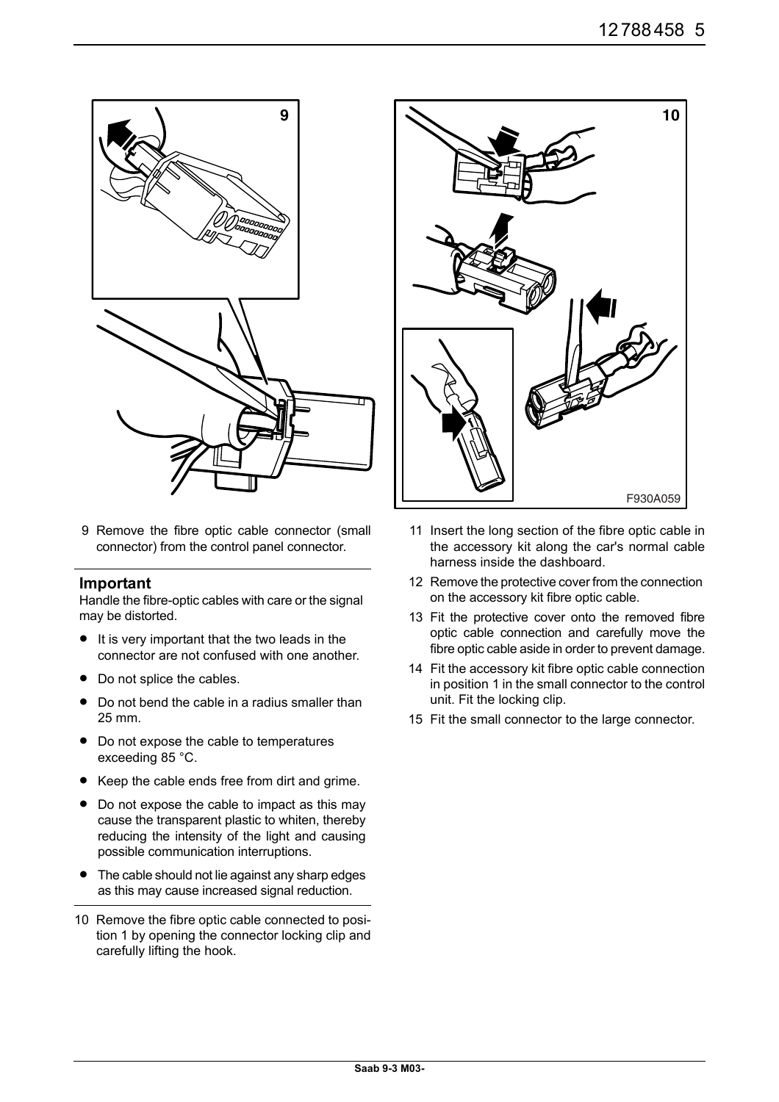

9 Remove the fibre optic cable connector (small connector) from the control panel connector.

#### **Important**

Handle the fibre-optic cables with care or the signal may be distorted.

- It is very important that the two leads in the connector are not confused with one another.
- Do not splice the cables.
- Do not bend the cable in a radius smaller than 25 mm.
- Do not expose the cable to temperatures exceeding 85 °C.
- Keep the cable ends free from dirt and grime.
- Do not expose the cable to impact as this may cause the transparent plastic to whiten, thereby reducing the intensity of the light and causing possible communication interruptions.
- The cable should not lie against any sharp edges as this may cause increased signal reduction.
- 10 Remove the fibre optic cable connected to position 1 by opening the connector locking clip and carefully lifting the hook.



- 11 Insert the long section of the fibre optic cable in the accessory kit along the car's normal cable harness inside the dashboard.
- 12 Remove the protective cover from the connection on the accessory kit fibre optic cable.
- 13 Fit the protective cover onto the removed fibre optic cable connection and carefully move the fibre optic cable aside in order to prevent damage.
- 14 Fit the accessory kit fibre optic cable connection in position 1 in the small connector to the control unit. Fit the locking clip.
- 15 Fit the small connector to the large connector.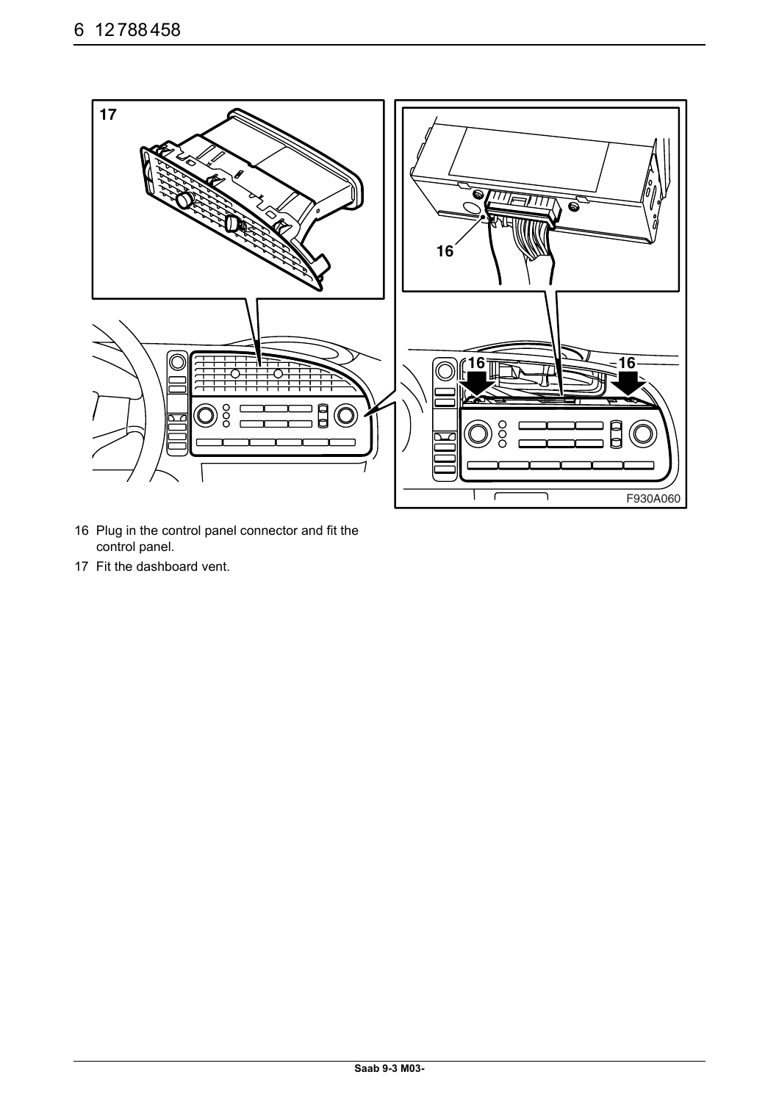

- 16 Plug in the control panel connector and fit the control panel.
- 17 Fit the dashboard vent.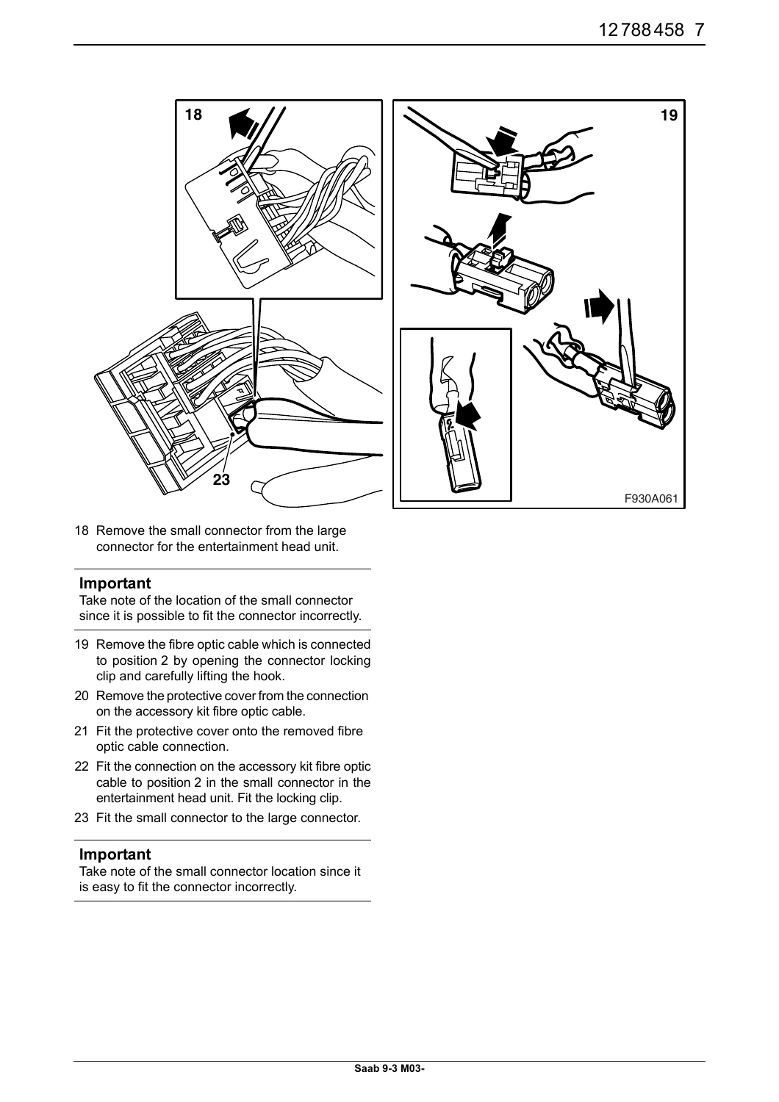



18 Remove the small connector from the large connector for the entertainment head unit.

#### **Important**

Take note of the location of the small connector since it is possible to fit the connector incorrectly.

- 19 Remove the fibre optic cable which is connected to position 2 by opening the connector locking clip and carefully lifting the hook.
- 20 Remove the protective cover from the connection on the accessory kit fibre optic cable.
- 21 Fit the protective cover onto the removed fibre optic cable connection.
- 22 Fit the connection on the accessory kit fibre optic cable to position 2 in the small connector in the entertainment head unit. Fit the locking clip.
- 23 Fit the small connector to the large connector.

#### **Important**

Take note of the small connector location since it is easy to fit the connector incorrectly.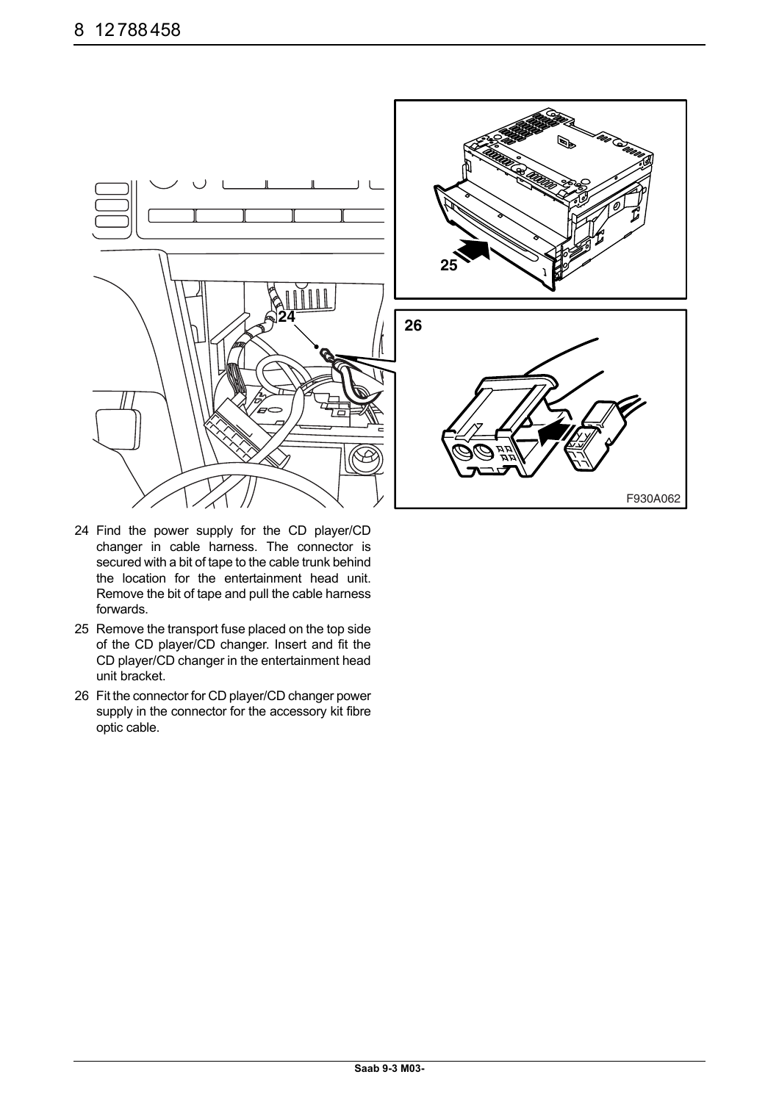

- 24 Find the power supply for the CD player/CD changer in cable harness. The connector is secured with a bit of tape to the cable trunk behind the location for the entertainment head unit. Remove the bit of tape and pull the cable harness forwards.
- 25 Remove the transport fuse placed on the top side of the CD player/CD changer. Insert and fit the CD player/CD changer in the entertainment head unit bracket.
- 26 Fit the connector for CD player/CD changer power supply in the connector for the accessory kit fibre optic cable.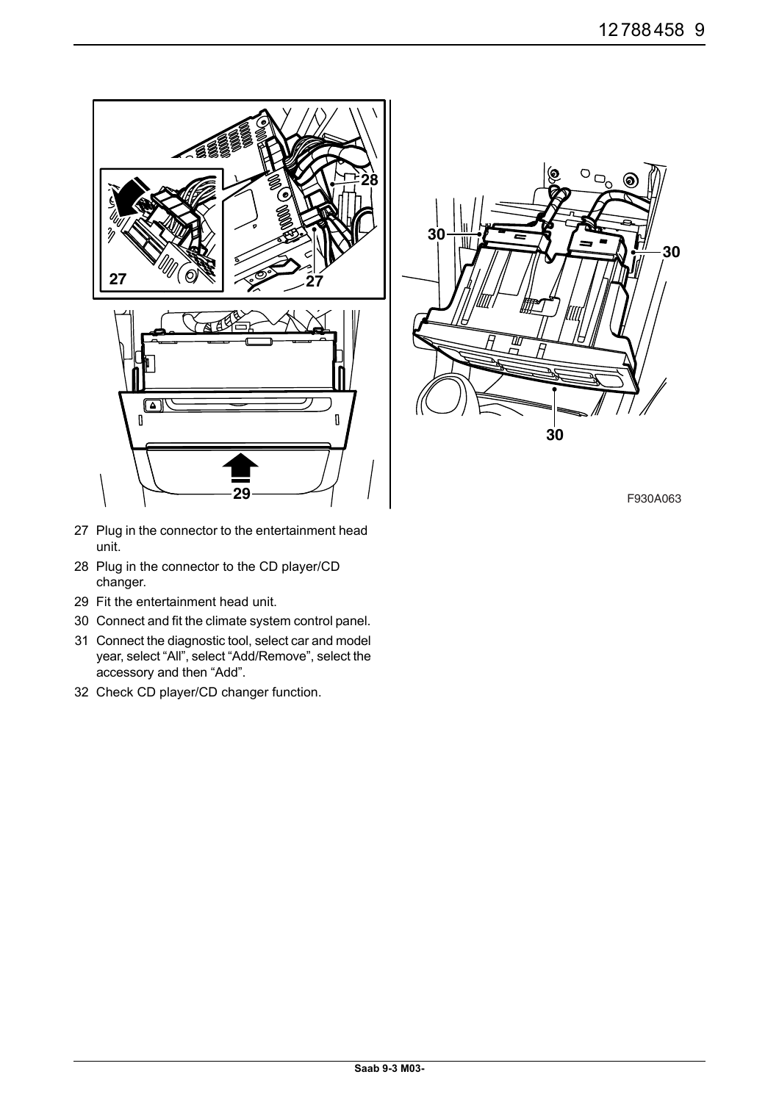

- 27 Plug in the connector to the entertainment head unit.
- 28 Plug in the connector to the CD player/CD changer.
- 29 Fit the entertainment head unit.
- 30 Connect and fit the climate system control panel.
- 31 Connect the diagnostic tool, select car and model year, select "All", select "Add/Remove", select the accessory and then "Add".
- 32 Check CD player/CD changer function.



F930A063